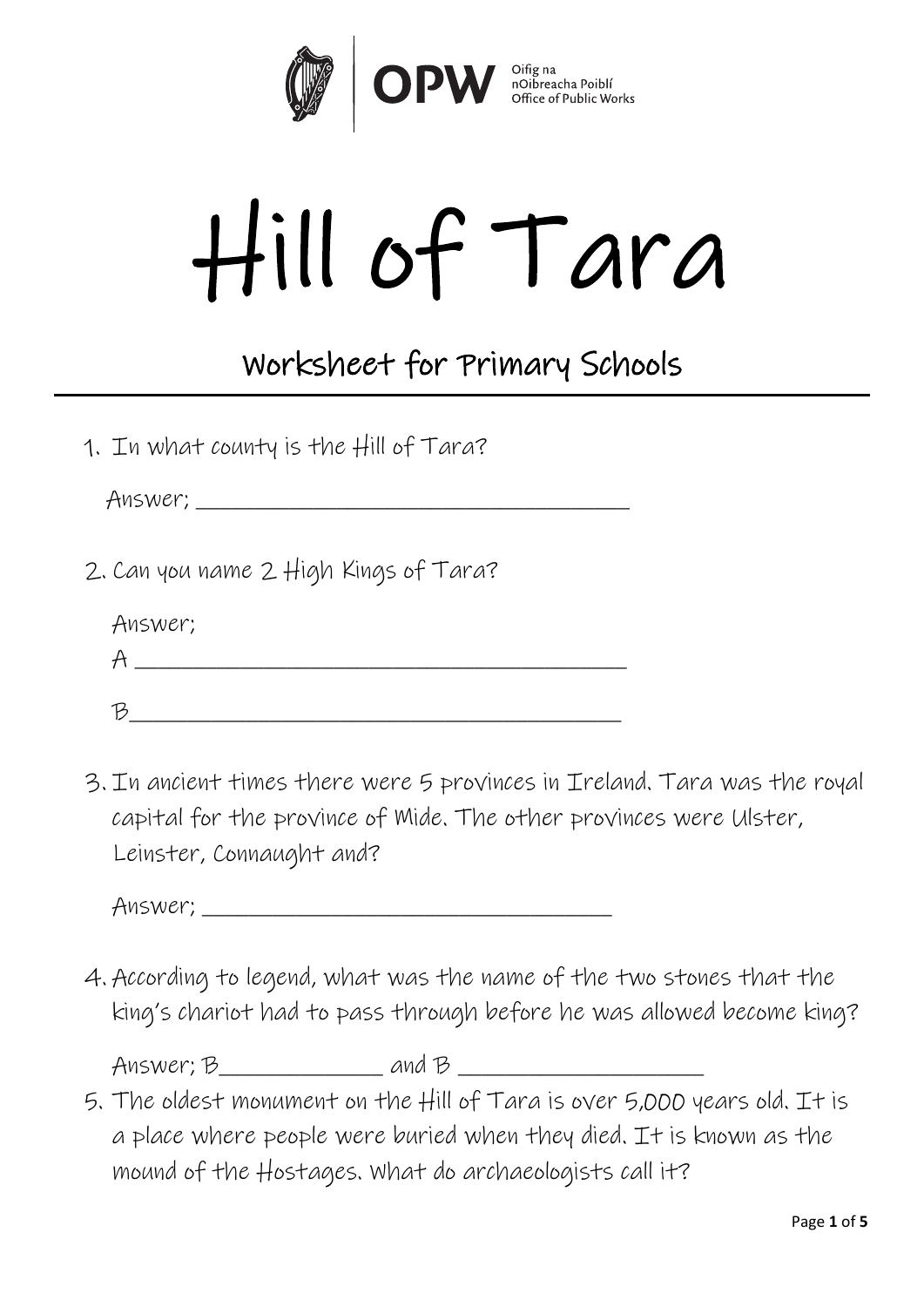

## Hill of Tara

## Worksheet for Primary Schools

1. In what county is the Hill of Tara?

Answer; \_\_\_\_\_\_\_\_\_\_\_\_\_\_\_\_\_\_\_\_\_\_\_\_\_\_\_\_\_\_\_\_\_\_\_\_\_

2. Can you name 2 High Kings of Tara?

| Answer; |  |
|---------|--|
|         |  |
|         |  |

3. In ancient times there were 5 provinces in Ireland. Tara was the royal capital for the province of Mide. The other provinces were Ulster, Leinster, Connaught and?

Answer; \_\_\_\_\_\_\_\_\_\_\_\_\_\_\_\_\_\_\_\_\_\_\_\_\_\_\_\_\_\_\_\_\_\_\_

4. According to legend, what was the name of the two stones that the king's chariot had to pass through before he was allowed become king?

Answer; B\_\_\_\_\_\_\_\_\_\_\_\_\_\_ and B \_\_\_\_\_\_\_\_\_\_\_\_\_\_\_\_\_\_\_\_\_

5. The oldest monument on the Hill of Tara is over 5,000 years old. It is a place where people were buried when they died. It is known as the mound of the Hostages. What do archaeologists call it?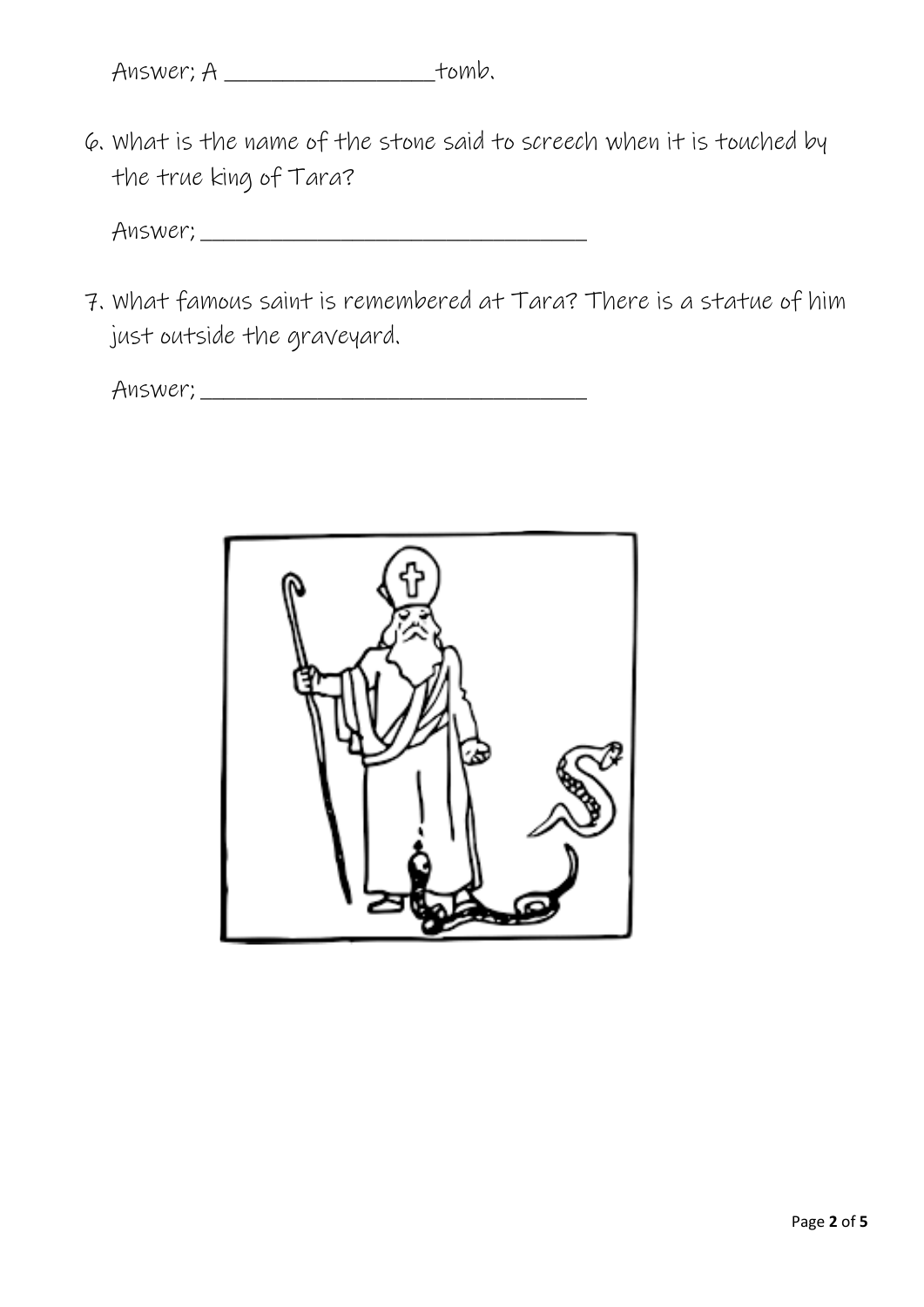6. What is the name of the stone said to screech when it is touched by the true king of Tara?

Answer; \_\_\_\_\_\_\_\_\_\_\_\_\_\_\_\_\_\_\_\_\_\_\_\_\_\_\_\_\_\_\_\_\_

7. What famous saint is remembered at Tara? There is a statue of him just outside the graveyard.

Answer; \_\_\_\_\_\_\_\_\_\_\_\_\_\_\_\_\_\_\_\_\_\_\_\_\_\_\_\_\_\_\_\_\_

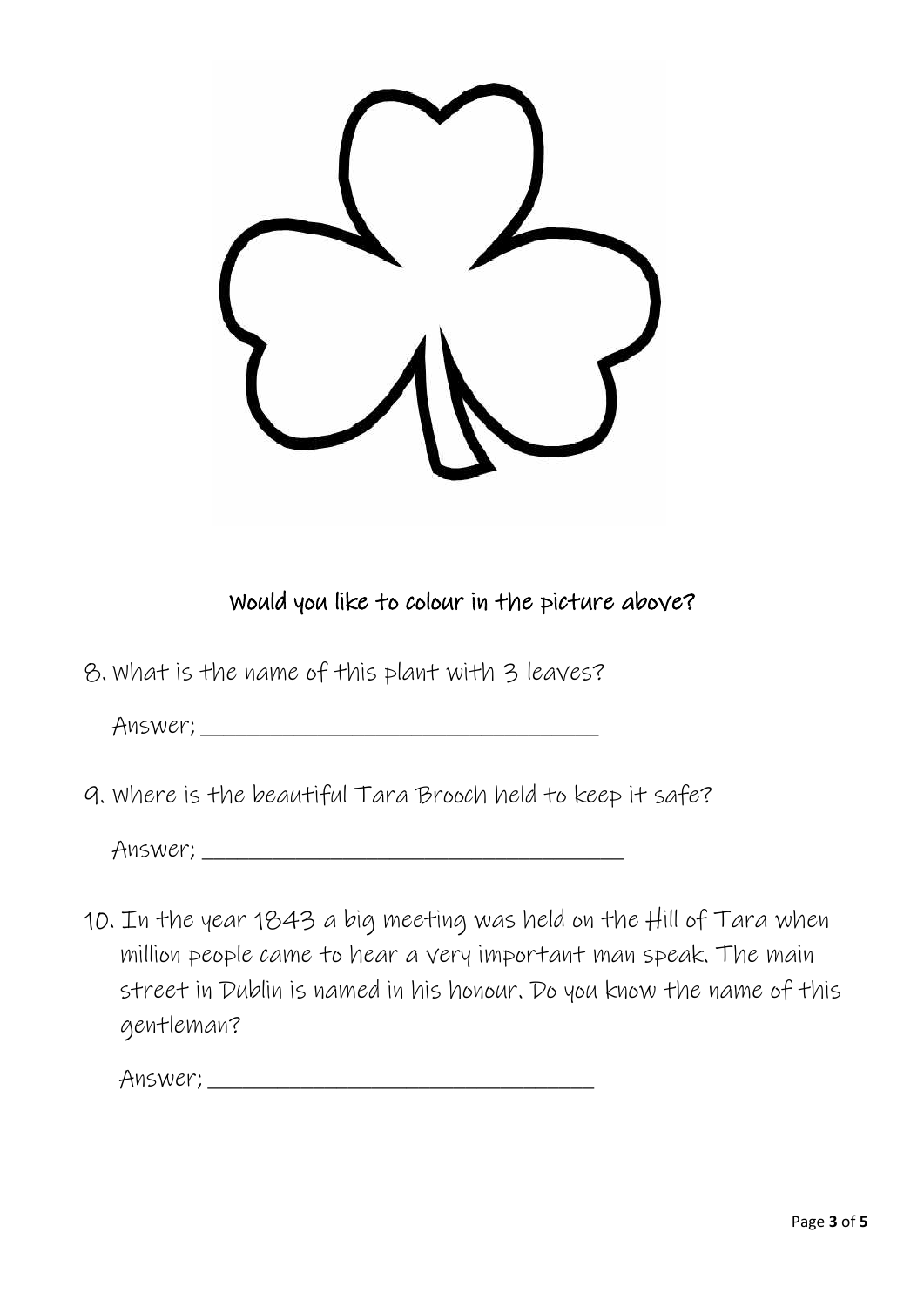

Would you like to colour in the picture above?

8. What is the name of this plant with 3 leaves?

Answer; \_\_\_\_\_\_\_\_\_\_\_\_\_\_\_\_\_\_\_\_\_\_\_\_\_\_\_\_\_\_\_\_\_\_

9. Where is the beautiful Tara Brooch held to keep it safe?

Answer; \_\_\_\_\_\_\_\_\_\_\_\_\_\_\_\_\_\_\_\_\_\_\_\_\_\_\_\_\_\_\_\_\_\_\_\_

10. In the year 1843 a big meeting was held on the Hill of Tara when million people came to hear a very important man speak. The main street in Dublin is named in his honour. Do you know the name of this gentleman?

Answer; \_\_\_\_\_\_\_\_\_\_\_\_\_\_\_\_\_\_\_\_\_\_\_\_\_\_\_\_\_\_\_\_\_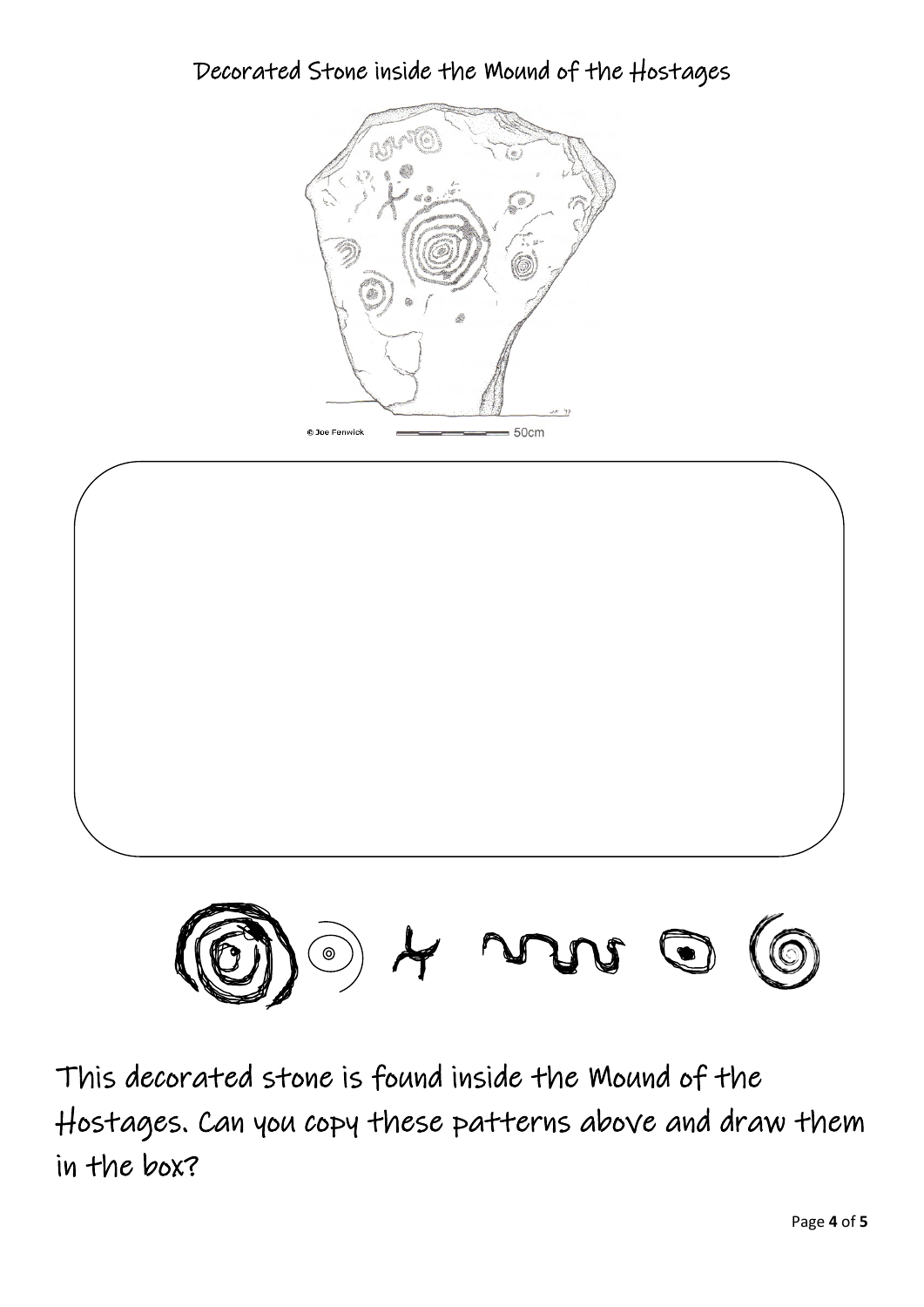Decorated Stone inside the Mound of the Hostages







This decorated stone is found inside the Mound of the Hostages. Can you copy these patterns above and draw them in the box?